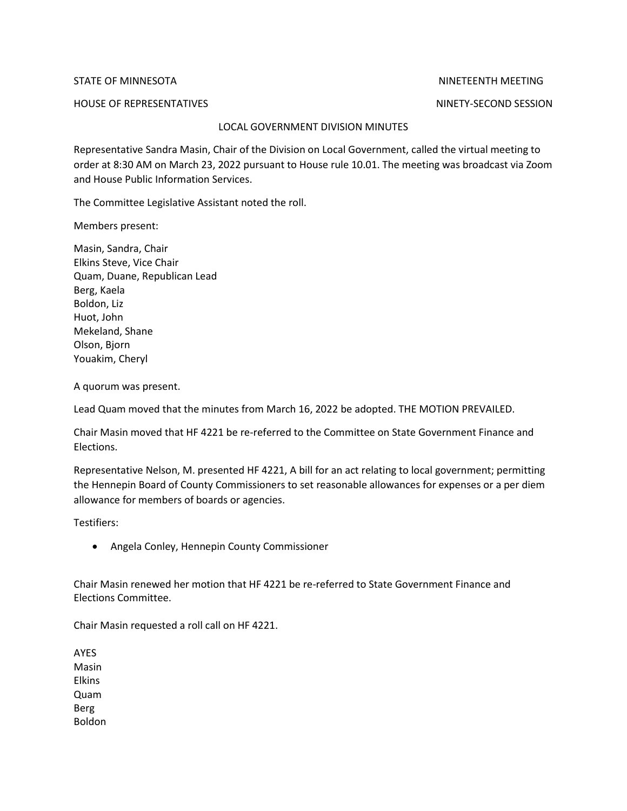STATE OF MINNESOTA NINETEENTH MEETING

HOUSE OF REPRESENTATIVES NINETY-SECOND SESSION

## LOCAL GOVERNMENT DIVISION MINUTES

Representative Sandra Masin, Chair of the Division on Local Government, called the virtual meeting to order at 8:30 AM on March 23, 2022 pursuant to House rule 10.01. The meeting was broadcast via Zoom and House Public Information Services.

The Committee Legislative Assistant noted the roll.

Members present:

Masin, Sandra, Chair Elkins Steve, Vice Chair Quam, Duane, Republican Lead Berg, Kaela Boldon, Liz Huot, John Mekeland, Shane Olson, Bjorn Youakim, Cheryl

A quorum was present.

Lead Quam moved that the minutes from March 16, 2022 be adopted. THE MOTION PREVAILED.

Chair Masin moved that HF 4221 be re-referred to the Committee on State Government Finance and Elections.

Representative Nelson, M. presented HF 4221, A bill for an act relating to local government; permitting the Hennepin Board of County Commissioners to set reasonable allowances for expenses or a per diem allowance for members of boards or agencies.

Testifiers:

• Angela Conley, Hennepin County Commissioner

Chair Masin renewed her motion that HF 4221 be re-referred to State Government Finance and Elections Committee.

Chair Masin requested a roll call on HF 4221.

AYES Masin Elkins Quam Berg Boldon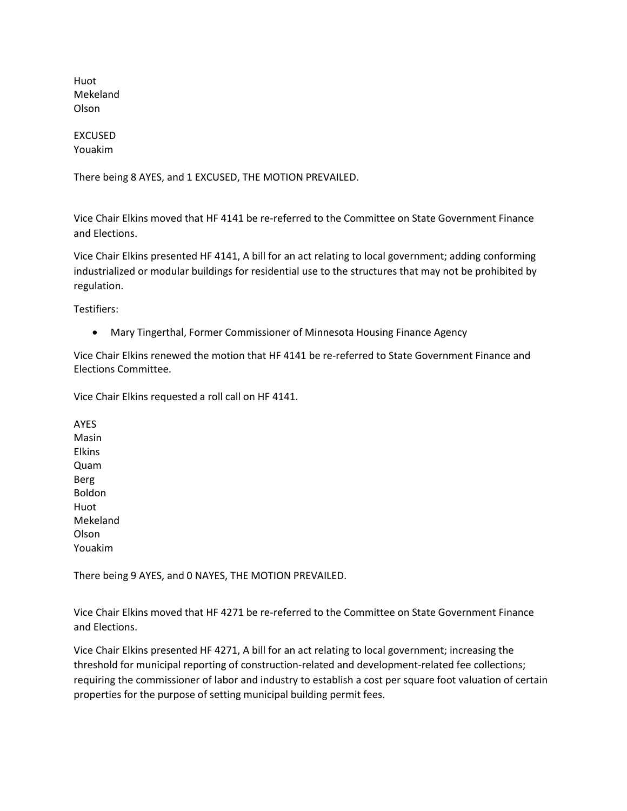Huot Mekeland Olson

## EXCUSED Youakim

There being 8 AYES, and 1 EXCUSED, THE MOTION PREVAILED.

Vice Chair Elkins moved that HF 4141 be re-referred to the Committee on State Government Finance and Elections.

Vice Chair Elkins presented HF 4141, A bill for an act relating to local government; adding conforming industrialized or modular buildings for residential use to the structures that may not be prohibited by regulation.

Testifiers:

• Mary Tingerthal, Former Commissioner of Minnesota Housing Finance Agency

Vice Chair Elkins renewed the motion that HF 4141 be re-referred to State Government Finance and Elections Committee.

Vice Chair Elkins requested a roll call on HF 4141.

AYES Masin Elkins Quam Berg Boldon Huot Mekeland Olson Youakim

There being 9 AYES, and 0 NAYES, THE MOTION PREVAILED.

Vice Chair Elkins moved that HF 4271 be re-referred to the Committee on State Government Finance and Elections.

Vice Chair Elkins presented HF 4271, A bill for an act relating to local government; increasing the threshold for municipal reporting of construction-related and development-related fee collections; requiring the commissioner of labor and industry to establish a cost per square foot valuation of certain properties for the purpose of setting municipal building permit fees.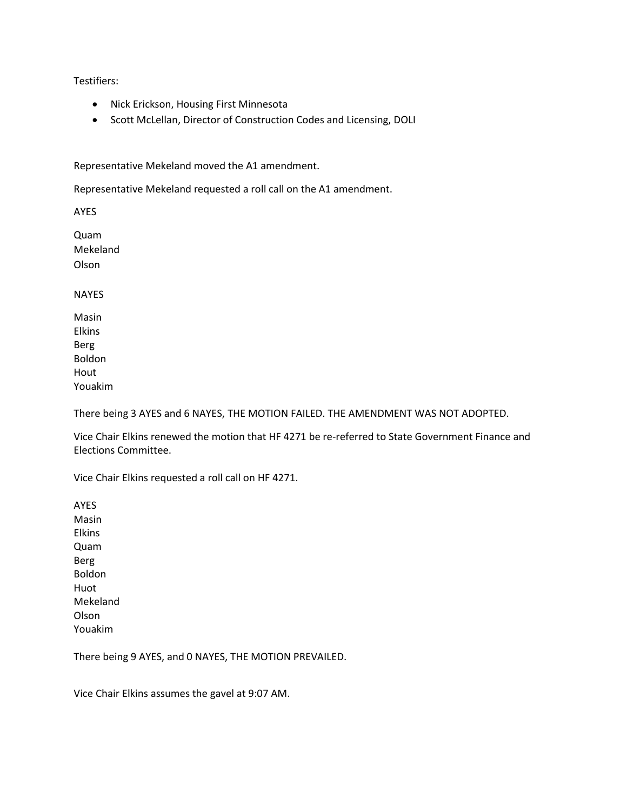Testifiers:

- Nick Erickson, Housing First Minnesota
- Scott McLellan, Director of Construction Codes and Licensing, DOLI

Representative Mekeland moved the A1 amendment.

Representative Mekeland requested a roll call on the A1 amendment.

AYES

Quam Mekeland Olson

NAYES

Masin Elkins Berg Boldon Hout Youakim

There being 3 AYES and 6 NAYES, THE MOTION FAILED. THE AMENDMENT WAS NOT ADOPTED.

Vice Chair Elkins renewed the motion that HF 4271 be re-referred to State Government Finance and Elections Committee.

Vice Chair Elkins requested a roll call on HF 4271.

AYES Masin Elkins Quam Berg Boldon Huot Mekeland Olson Youakim

There being 9 AYES, and 0 NAYES, THE MOTION PREVAILED.

Vice Chair Elkins assumes the gavel at 9:07 AM.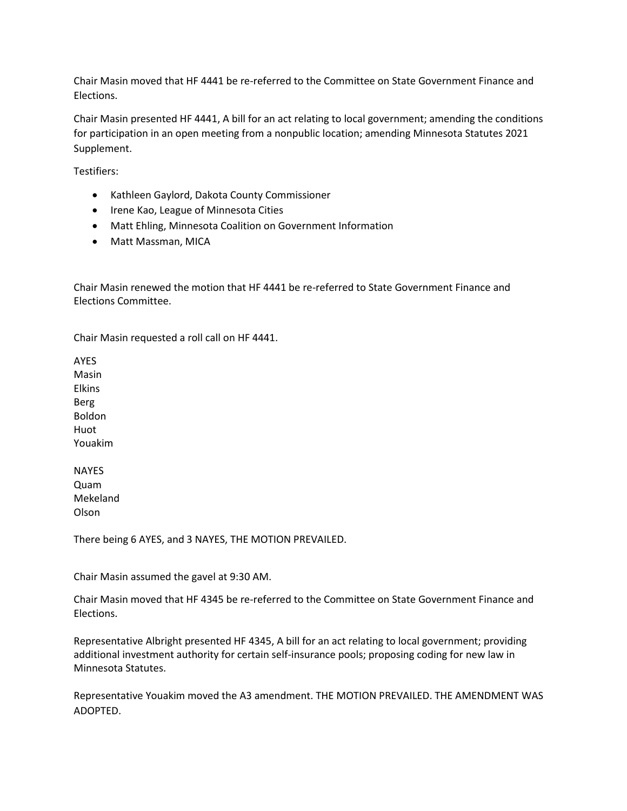Chair Masin moved that HF 4441 be re-referred to the Committee on State Government Finance and Elections.

Chair Masin presented HF 4441, A bill for an act relating to local government; amending the conditions for participation in an open meeting from a nonpublic location; amending Minnesota Statutes 2021 Supplement.

Testifiers:

- Kathleen Gaylord, Dakota County Commissioner
- Irene Kao, League of Minnesota Cities
- Matt Ehling, Minnesota Coalition on Government Information
- Matt Massman, MICA

Chair Masin renewed the motion that HF 4441 be re-referred to State Government Finance and Elections Committee.

Chair Masin requested a roll call on HF 4441.

AYES Masin Elkins Berg Boldon Huot Youakim

**NAYES** Quam Mekeland Olson

There being 6 AYES, and 3 NAYES, THE MOTION PREVAILED.

Chair Masin assumed the gavel at 9:30 AM.

Chair Masin moved that HF 4345 be re-referred to the Committee on State Government Finance and Elections.

Representative Albright presented HF 4345, A bill for an act relating to local government; providing additional investment authority for certain self-insurance pools; proposing coding for new law in Minnesota Statutes.

Representative Youakim moved the A3 amendment. THE MOTION PREVAILED. THE AMENDMENT WAS ADOPTED.